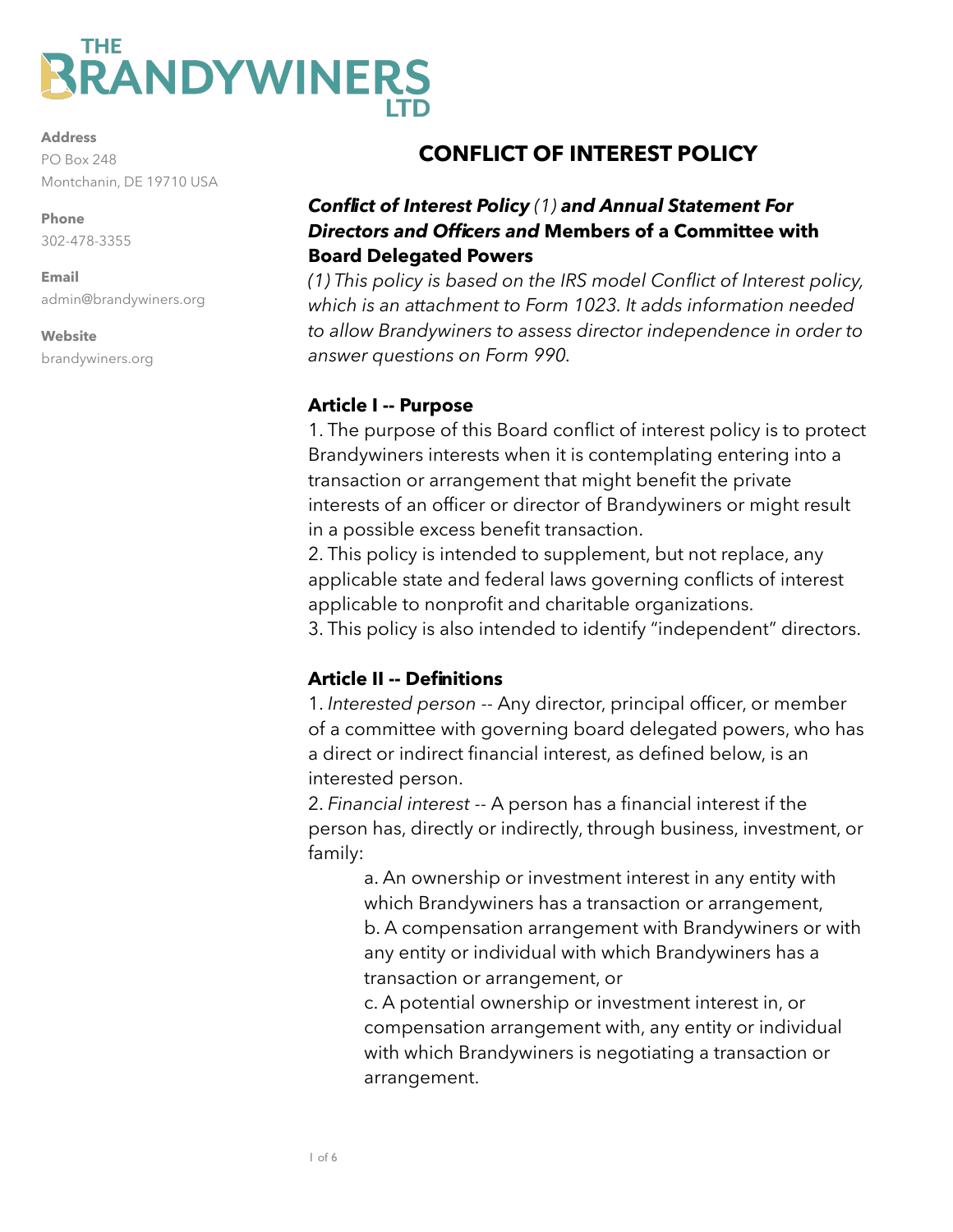# THE **RRANDYWINERS**

**Address** PO Box 248 Montchanin, DE 19710 USA

**Phone**  302-478-3355

**Email**  admin@brandywiners.org

#### **Website** brandywiners.org

## **CONFLICT OF INTEREST POLICY**

## *Conflict of Interest Policy (1) and Annual Statement For Directors and Officers and* **Members of a Committee with Board Delegated Powers**

*(1) This policy is based on the IRS model Conflict of Interest policy, which is an attachment to Form 1023. It adds information needed to allow Brandywiners to assess director independence in order to answer questions on Form 990.*

## **Article I -- Purpose**

1. The purpose of this Board conflict of interest policy is to protect Brandywiners interests when it is contemplating entering into a transaction or arrangement that might benefit the private interests of an officer or director of Brandywiners or might result in a possible excess benefit transaction.

2. This policy is intended to supplement, but not replace, any applicable state and federal laws governing conflicts of interest applicable to nonprofit and charitable organizations.

3. This policy is also intended to identify "independent" directors.

## **Article II -- Definitions**

1. *Interested person* -- Any director, principal officer, or member of a committee with governing board delegated powers, who has a direct or indirect financial interest, as defined below, is an interested person.

2. *Financial interest* -- A person has a financial interest if the person has, directly or indirectly, through business, investment, or family:

 a. An ownership or investment interest in any entity with which Brandywiners has a transaction or arrangement, b. A compensation arrangement with Brandywiners or with any entity or individual with which Brandywiners has a transaction or arrangement, or

 c. A potential ownership or investment interest in, or compensation arrangement with, any entity or individual with which Brandywiners is negotiating a transaction or arrangement.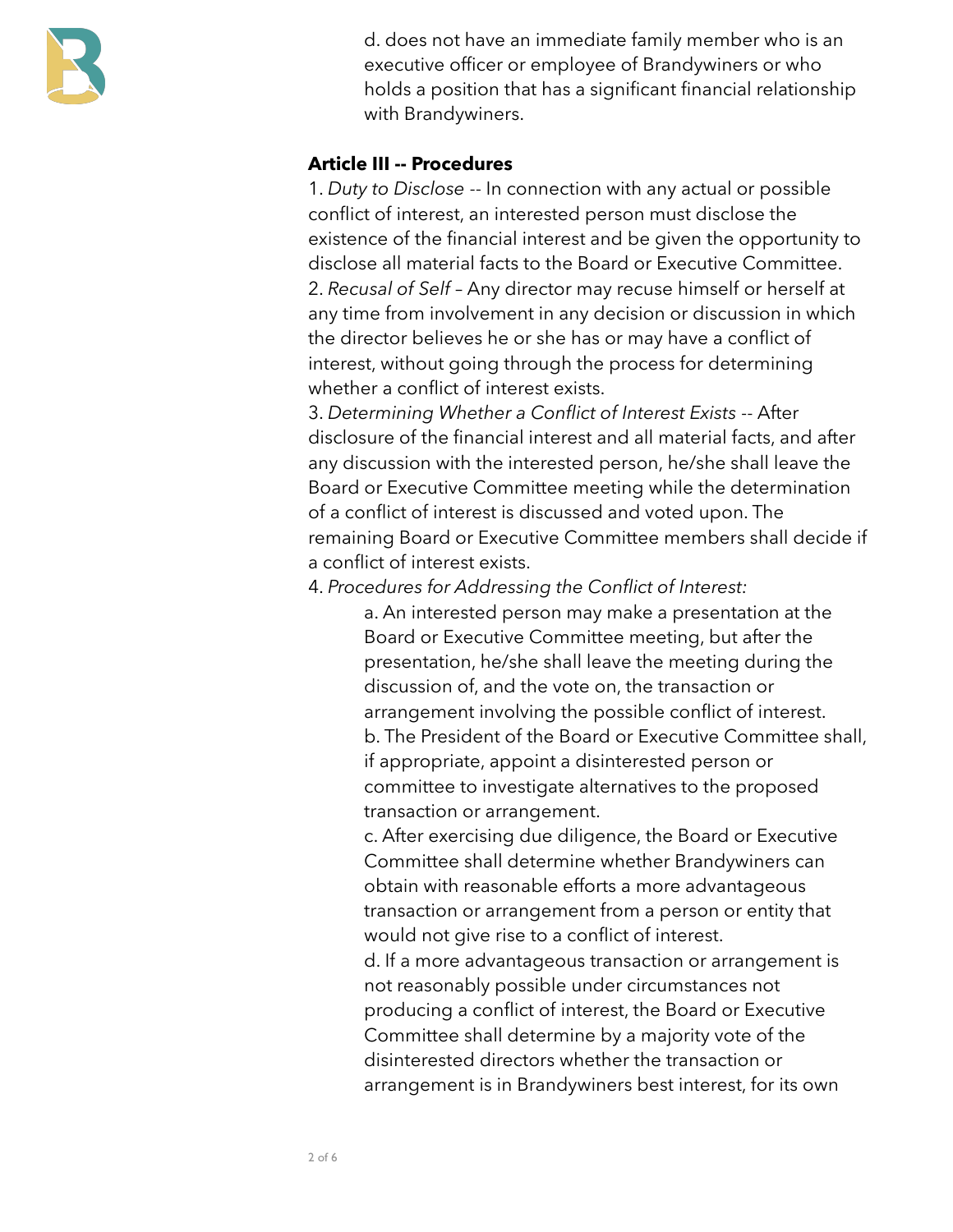

 d. does not have an immediate family member who is an executive officer or employee of Brandywiners or who holds a position that has a significant financial relationship with Brandywiners.

#### **Article III -- Procedures**

1. *Duty to Disclose* -- In connection with any actual or possible conflict of interest, an interested person must disclose the existence of the financial interest and be given the opportunity to disclose all material facts to the Board or Executive Committee. 2. *Recusal of Self* – Any director may recuse himself or herself at any time from involvement in any decision or discussion in which the director believes he or she has or may have a conflict of interest, without going through the process for determining whether a conflict of interest exists.

3. *Determining Whether a Conflict of Interest Exists* -- After disclosure of the financial interest and all material facts, and after any discussion with the interested person, he/she shall leave the Board or Executive Committee meeting while the determination of a conflict of interest is discussed and voted upon. The remaining Board or Executive Committee members shall decide if a conflict of interest exists.

4. *Procedures for Addressing the Conflict of Interest:* 

a. An interested person may make a presentation at the Board or Executive Committee meeting, but after the presentation, he/she shall leave the meeting during the discussion of, and the vote on, the transaction or arrangement involving the possible conflict of interest. b. The President of the Board or Executive Committee shall, if appropriate, appoint a disinterested person or committee to investigate alternatives to the proposed transaction or arrangement.

 c. After exercising due diligence, the Board or Executive Committee shall determine whether Brandywiners can obtain with reasonable efforts a more advantageous transaction or arrangement from a person or entity that would not give rise to a conflict of interest.

 d. If a more advantageous transaction or arrangement is not reasonably possible under circumstances not producing a conflict of interest, the Board or Executive Committee shall determine by a majority vote of the disinterested directors whether the transaction or arrangement is in Brandywiners best interest, for its own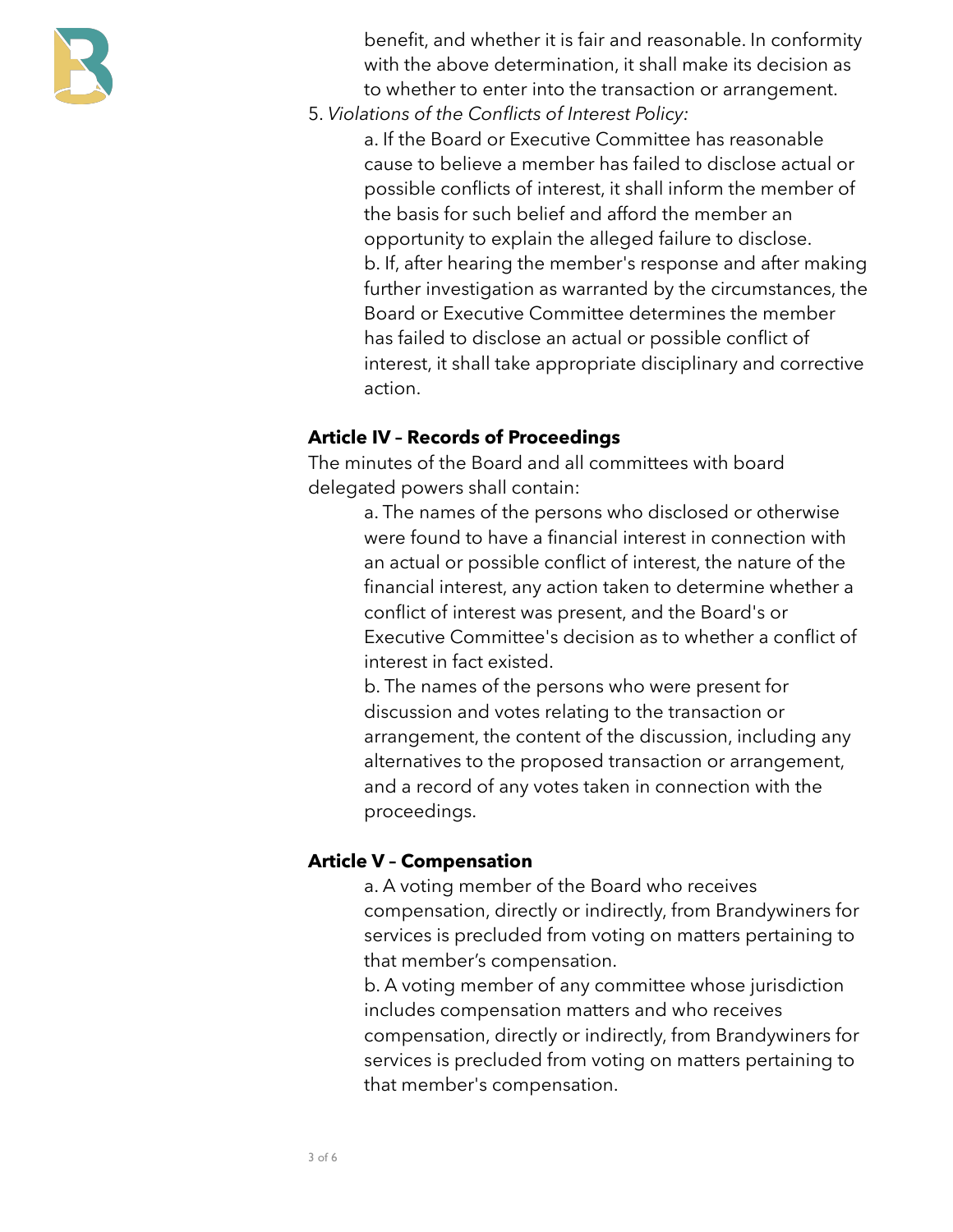

 benefit, and whether it is fair and reasonable. In conformity with the above determination, it shall make its decision as to whether to enter into the transaction or arrangement.

5. *Violations of the Conflicts of Interest Policy:* 

a. If the Board or Executive Committee has reasonable cause to believe a member has failed to disclose actual or possible conflicts of interest, it shall inform the member of the basis for such belief and afford the member an opportunity to explain the alleged failure to disclose. b. If, after hearing the member's response and after making further investigation as warranted by the circumstances, the Board or Executive Committee determines the member has failed to disclose an actual or possible conflict of interest, it shall take appropriate disciplinary and corrective action.

#### **Article IV – Records of Proceedings**

The minutes of the Board and all committees with board delegated powers shall contain:

> a. The names of the persons who disclosed or otherwise were found to have a financial interest in connection with an actual or possible conflict of interest, the nature of the financial interest, any action taken to determine whether a conflict of interest was present, and the Board's or Executive Committee's decision as to whether a conflict of interest in fact existed.

 b. The names of the persons who were present for discussion and votes relating to the transaction or arrangement, the content of the discussion, including any alternatives to the proposed transaction or arrangement, and a record of any votes taken in connection with the proceedings.

## **Article V – Compensation**

 a. A voting member of the Board who receives compensation, directly or indirectly, from Brandywiners for services is precluded from voting on matters pertaining to that member's compensation.

 b. A voting member of any committee whose jurisdiction includes compensation matters and who receives compensation, directly or indirectly, from Brandywiners for services is precluded from voting on matters pertaining to that member's compensation.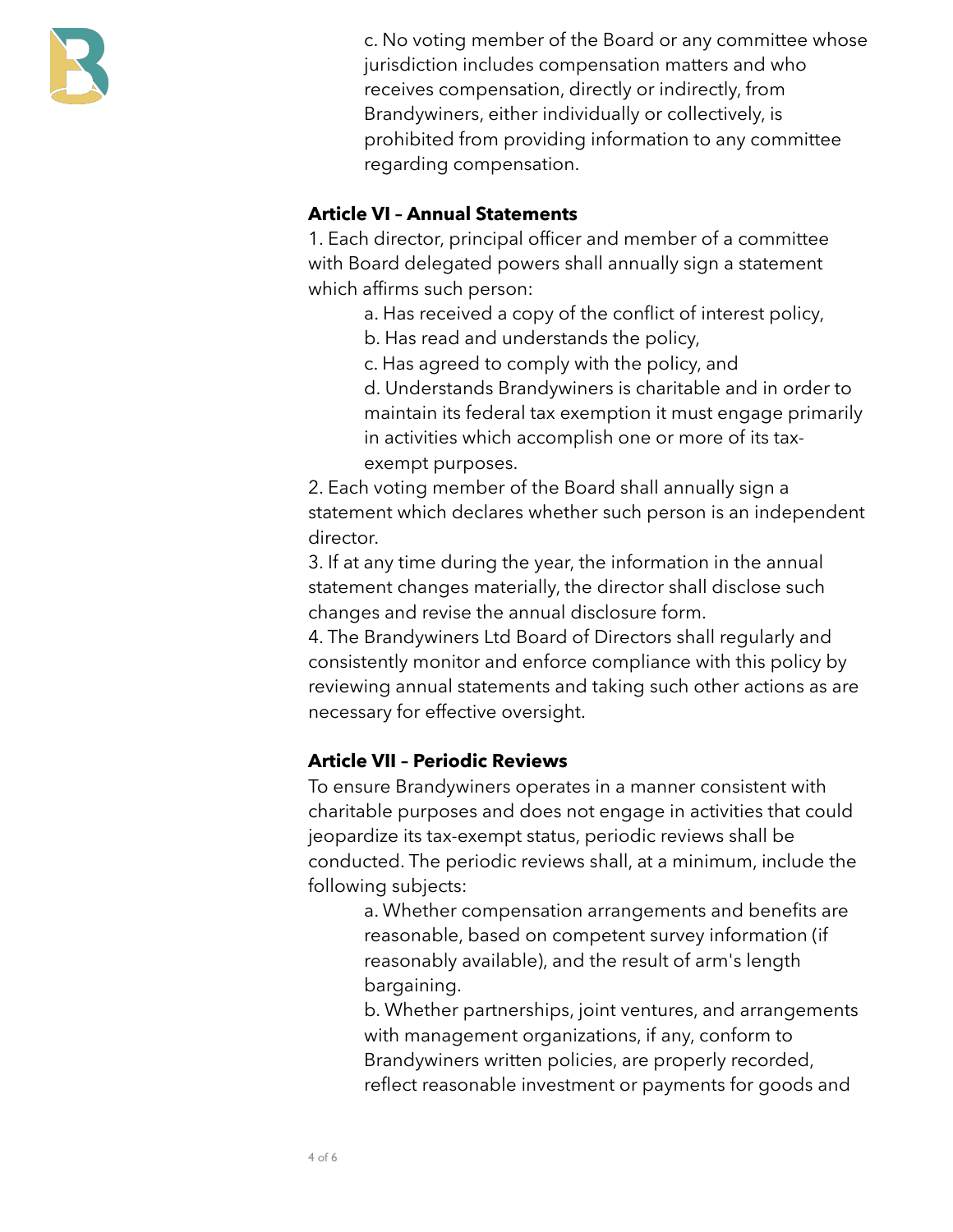

 c. No voting member of the Board or any committee whose jurisdiction includes compensation matters and who receives compensation, directly or indirectly, from Brandywiners, either individually or collectively, is prohibited from providing information to any committee regarding compensation.

### **Article VI – Annual Statements**

1. Each director, principal officer and member of a committee with Board delegated powers shall annually sign a statement which affirms such person:

- a. Has received a copy of the conflict of interest policy,
- b. Has read and understands the policy,
- c. Has agreed to comply with the policy, and

 d. Understands Brandywiners is charitable and in order to maintain its federal tax exemption it must engage primarily in activities which accomplish one or more of its tax exempt purposes.

2. Each voting member of the Board shall annually sign a statement which declares whether such person is an independent director.

3. If at any time during the year, the information in the annual statement changes materially, the director shall disclose such changes and revise the annual disclosure form.

4. The Brandywiners Ltd Board of Directors shall regularly and consistently monitor and enforce compliance with this policy by reviewing annual statements and taking such other actions as are necessary for effective oversight.

## **Article VII – Periodic Reviews**

To ensure Brandywiners operates in a manner consistent with charitable purposes and does not engage in activities that could jeopardize its tax-exempt status, periodic reviews shall be conducted. The periodic reviews shall, at a minimum, include the following subjects:

> a. Whether compensation arrangements and benefits are reasonable, based on competent survey information (if reasonably available), and the result of arm's length bargaining.

 b. Whether partnerships, joint ventures, and arrangements with management organizations, if any, conform to Brandywiners written policies, are properly recorded, reflect reasonable investment or payments for goods and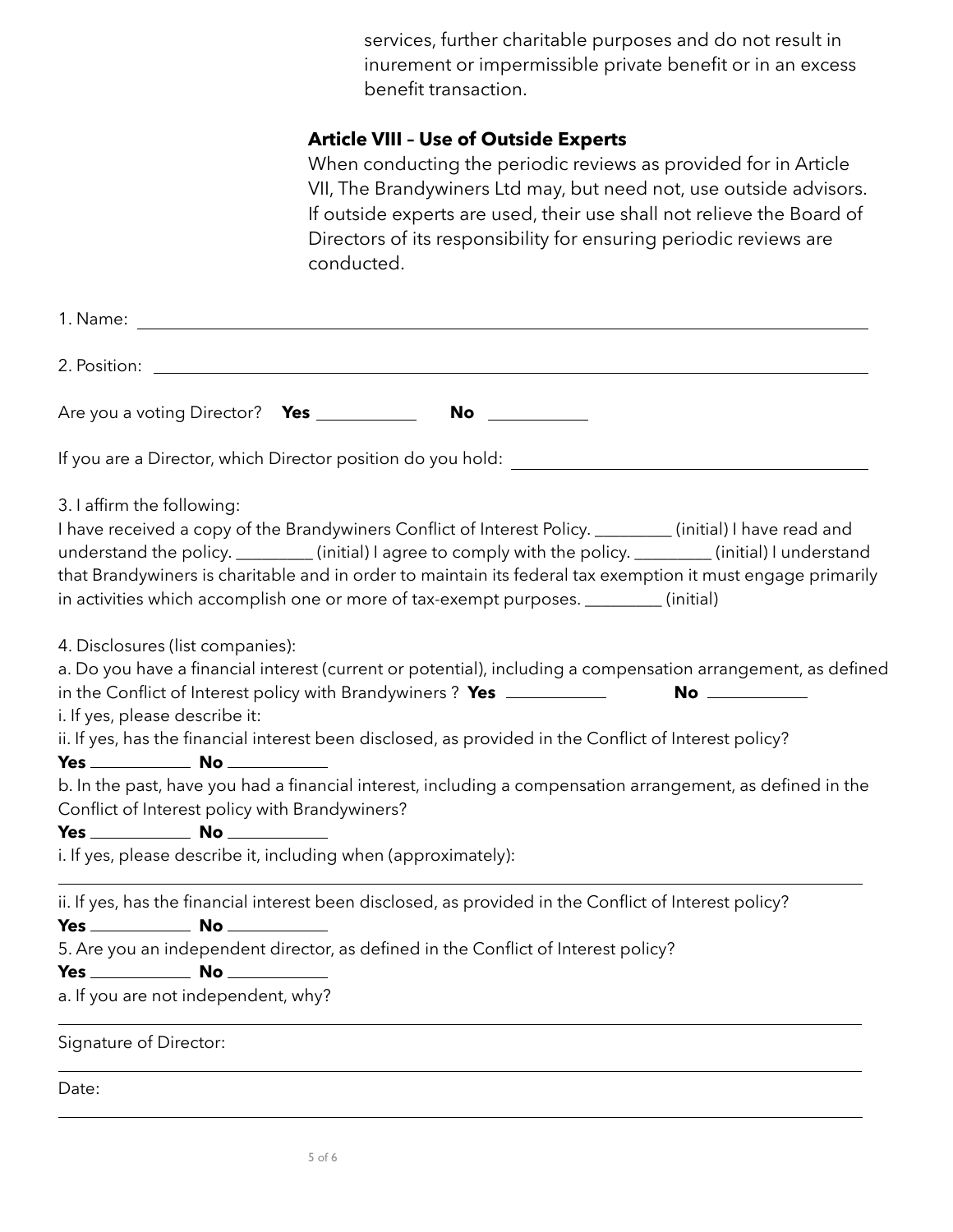services, further charitable purposes and do not result in inurement or impermissible private benefit or in an excess benefit transaction.

#### **Article VIII – Use of Outside Experts**

When conducting the periodic reviews as provided for in Article VII, The Brandywiners Ltd may, but need not, use outside advisors. If outside experts are used, their use shall not relieve the Board of Directors of its responsibility for ensuring periodic reviews are conducted.

| Are you a voting Director? Yes ___________<br>No _________                                                                                                                                                                                                                                                                                                                                                                                                                          |
|-------------------------------------------------------------------------------------------------------------------------------------------------------------------------------------------------------------------------------------------------------------------------------------------------------------------------------------------------------------------------------------------------------------------------------------------------------------------------------------|
|                                                                                                                                                                                                                                                                                                                                                                                                                                                                                     |
| 3. I affirm the following:<br>I have received a copy of the Brandywiners Conflict of Interest Policy. ________(initial) I have read and<br>understand the policy. ________(initial) I agree to comply with the policy. _______(initial) I understand<br>that Brandywiners is charitable and in order to maintain its federal tax exemption it must engage primarily<br>in activities which accomplish one or more of tax-exempt purposes. ________(initial)                         |
| 4. Disclosures (list companies):<br>a. Do you have a financial interest (current or potential), including a compensation arrangement, as defined<br>in the Conflict of Interest policy with Brandywiners? Yes ___________<br>i. If yes, please describe it:<br>ii. If yes, has the financial interest been disclosed, as provided in the Conflict of Interest policy?<br>b. In the past, have you had a financial interest, including a compensation arrangement, as defined in the |
| Conflict of Interest policy with Brandywiners?                                                                                                                                                                                                                                                                                                                                                                                                                                      |
| i. If yes, please describe it, including when (approximately):                                                                                                                                                                                                                                                                                                                                                                                                                      |
| ii. If yes, has the financial interest been disclosed, as provided in the Conflict of Interest policy?                                                                                                                                                                                                                                                                                                                                                                              |
| 5. Are you an independent director, as defined in the Conflict of Interest policy?                                                                                                                                                                                                                                                                                                                                                                                                  |
| a. If you are not independent, why?                                                                                                                                                                                                                                                                                                                                                                                                                                                 |
| Signature of Director:                                                                                                                                                                                                                                                                                                                                                                                                                                                              |
| Date:                                                                                                                                                                                                                                                                                                                                                                                                                                                                               |